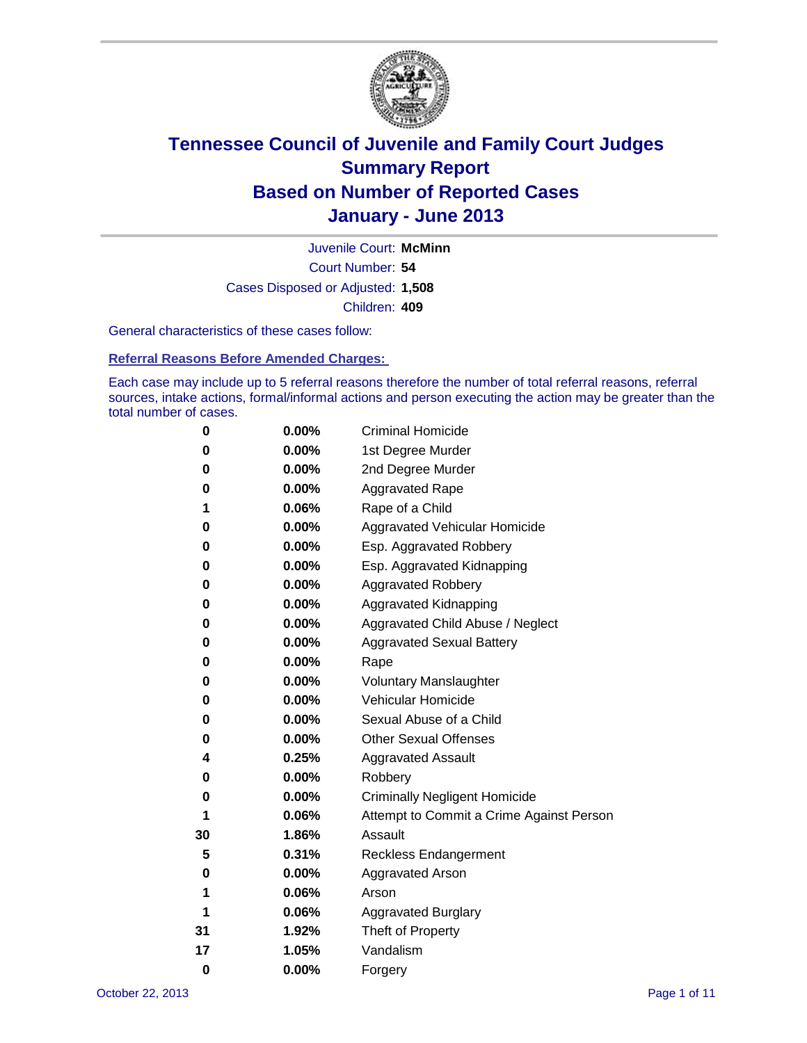

Court Number: **54** Juvenile Court: **McMinn** Cases Disposed or Adjusted: **1,508** Children: **409**

General characteristics of these cases follow:

**Referral Reasons Before Amended Charges:** 

Each case may include up to 5 referral reasons therefore the number of total referral reasons, referral sources, intake actions, formal/informal actions and person executing the action may be greater than the total number of cases.

| 0  | 0.00%    | <b>Criminal Homicide</b>                 |  |  |  |
|----|----------|------------------------------------------|--|--|--|
| 0  | 0.00%    | 1st Degree Murder                        |  |  |  |
| 0  | 0.00%    | 2nd Degree Murder                        |  |  |  |
| 0  | 0.00%    | <b>Aggravated Rape</b>                   |  |  |  |
| 1  | 0.06%    | Rape of a Child                          |  |  |  |
| 0  | 0.00%    | Aggravated Vehicular Homicide            |  |  |  |
| 0  | 0.00%    | Esp. Aggravated Robbery                  |  |  |  |
| 0  | 0.00%    | Esp. Aggravated Kidnapping               |  |  |  |
| 0  | 0.00%    | <b>Aggravated Robbery</b>                |  |  |  |
| 0  | 0.00%    | Aggravated Kidnapping                    |  |  |  |
| 0  | 0.00%    | Aggravated Child Abuse / Neglect         |  |  |  |
| 0  | $0.00\%$ | <b>Aggravated Sexual Battery</b>         |  |  |  |
| 0  | 0.00%    | Rape                                     |  |  |  |
| 0  | $0.00\%$ | <b>Voluntary Manslaughter</b>            |  |  |  |
| 0  | 0.00%    | Vehicular Homicide                       |  |  |  |
| 0  | 0.00%    | Sexual Abuse of a Child                  |  |  |  |
| 0  | 0.00%    | <b>Other Sexual Offenses</b>             |  |  |  |
| 4  | 0.25%    | <b>Aggravated Assault</b>                |  |  |  |
| 0  | $0.00\%$ | Robbery                                  |  |  |  |
| 0  | 0.00%    | <b>Criminally Negligent Homicide</b>     |  |  |  |
| 1  | 0.06%    | Attempt to Commit a Crime Against Person |  |  |  |
| 30 | 1.86%    | Assault                                  |  |  |  |
| 5  | 0.31%    | <b>Reckless Endangerment</b>             |  |  |  |
| 0  | 0.00%    | <b>Aggravated Arson</b>                  |  |  |  |
| 1  | 0.06%    | Arson                                    |  |  |  |
| 1  | 0.06%    | <b>Aggravated Burglary</b>               |  |  |  |
| 31 | 1.92%    | Theft of Property                        |  |  |  |
| 17 | 1.05%    | Vandalism                                |  |  |  |
| 0  | 0.00%    | Forgery                                  |  |  |  |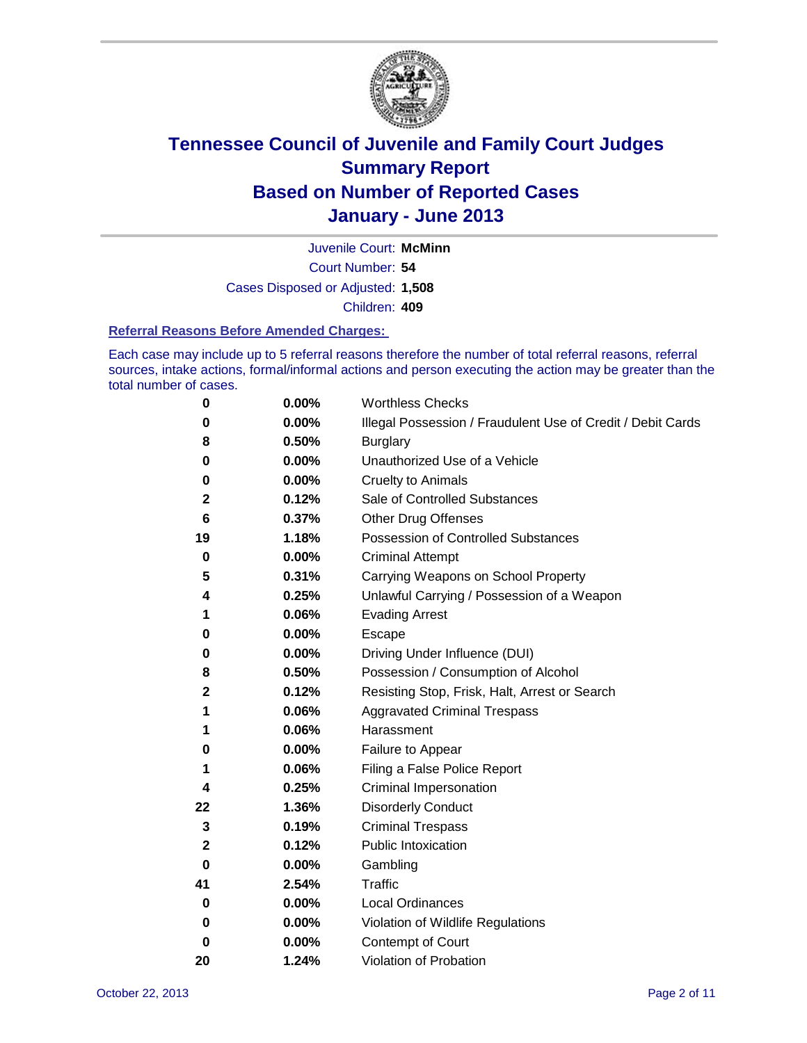

Court Number: **54** Juvenile Court: **McMinn** Cases Disposed or Adjusted: **1,508** Children: **409**

#### **Referral Reasons Before Amended Charges:**

Each case may include up to 5 referral reasons therefore the number of total referral reasons, referral sources, intake actions, formal/informal actions and person executing the action may be greater than the total number of cases.

| 0  | 0.00% | <b>Worthless Checks</b>                                     |
|----|-------|-------------------------------------------------------------|
| 0  | 0.00% | Illegal Possession / Fraudulent Use of Credit / Debit Cards |
| 8  | 0.50% | <b>Burglary</b>                                             |
| 0  | 0.00% | Unauthorized Use of a Vehicle                               |
| 0  | 0.00% | <b>Cruelty to Animals</b>                                   |
| 2  | 0.12% | Sale of Controlled Substances                               |
| 6  | 0.37% | <b>Other Drug Offenses</b>                                  |
| 19 | 1.18% | Possession of Controlled Substances                         |
| 0  | 0.00% | <b>Criminal Attempt</b>                                     |
| 5  | 0.31% | Carrying Weapons on School Property                         |
| 4  | 0.25% | Unlawful Carrying / Possession of a Weapon                  |
| 1  | 0.06% | <b>Evading Arrest</b>                                       |
| 0  | 0.00% | Escape                                                      |
| 0  | 0.00% | Driving Under Influence (DUI)                               |
| 8  | 0.50% | Possession / Consumption of Alcohol                         |
| 2  | 0.12% | Resisting Stop, Frisk, Halt, Arrest or Search               |
| 1  | 0.06% | <b>Aggravated Criminal Trespass</b>                         |
| 1  | 0.06% | Harassment                                                  |
| 0  | 0.00% | Failure to Appear                                           |
| 1  | 0.06% | Filing a False Police Report                                |
| 4  | 0.25% | Criminal Impersonation                                      |
| 22 | 1.36% | <b>Disorderly Conduct</b>                                   |
| 3  | 0.19% | <b>Criminal Trespass</b>                                    |
| 2  | 0.12% | <b>Public Intoxication</b>                                  |
| 0  | 0.00% | Gambling                                                    |
| 41 | 2.54% | Traffic                                                     |
| 0  | 0.00% | <b>Local Ordinances</b>                                     |
| 0  | 0.00% | Violation of Wildlife Regulations                           |
| 0  | 0.00% | Contempt of Court                                           |
| 20 | 1.24% | Violation of Probation                                      |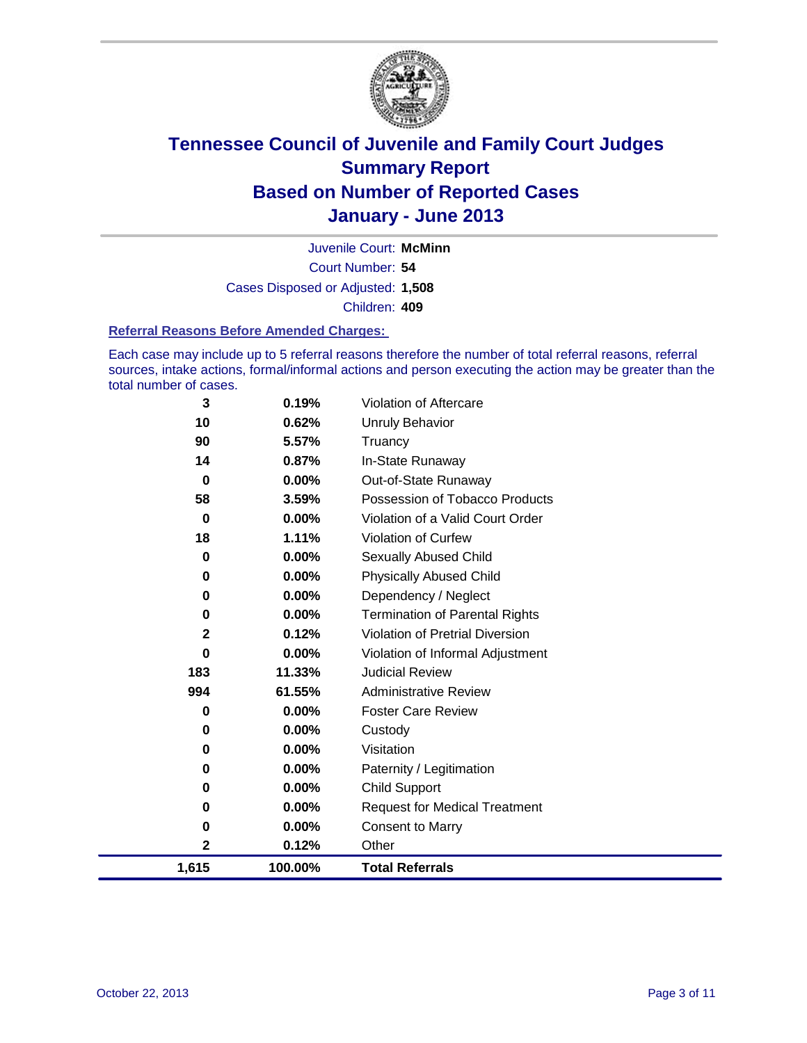

Court Number: **54** Juvenile Court: **McMinn** Cases Disposed or Adjusted: **1,508** Children: **409**

#### **Referral Reasons Before Amended Charges:**

Each case may include up to 5 referral reasons therefore the number of total referral reasons, referral sources, intake actions, formal/informal actions and person executing the action may be greater than the total number of cases.

| 3            | 0.19%    | Violation of Aftercare                 |
|--------------|----------|----------------------------------------|
| 10           | 0.62%    | Unruly Behavior                        |
| 90           | 5.57%    | Truancy                                |
| 14           | 0.87%    | In-State Runaway                       |
| $\mathbf 0$  | $0.00\%$ | Out-of-State Runaway                   |
| 58           | 3.59%    | Possession of Tobacco Products         |
| $\bf{0}$     | $0.00\%$ | Violation of a Valid Court Order       |
| 18           | 1.11%    | Violation of Curfew                    |
| $\bf{0}$     | $0.00\%$ | Sexually Abused Child                  |
| $\mathbf 0$  | 0.00%    | <b>Physically Abused Child</b>         |
| $\mathbf 0$  | $0.00\%$ | Dependency / Neglect                   |
| $\mathbf 0$  | 0.00%    | <b>Termination of Parental Rights</b>  |
| $\mathbf{2}$ | 0.12%    | <b>Violation of Pretrial Diversion</b> |
| $\bf{0}$     | 0.00%    | Violation of Informal Adjustment       |
| 183          | 11.33%   | <b>Judicial Review</b>                 |
| 994          | 61.55%   | <b>Administrative Review</b>           |
| 0            | 0.00%    | <b>Foster Care Review</b>              |
| 0            | $0.00\%$ | Custody                                |
| 0            | $0.00\%$ | Visitation                             |
| 0            | $0.00\%$ | Paternity / Legitimation               |
| 0            | 0.00%    | <b>Child Support</b>                   |
| 0            | $0.00\%$ | <b>Request for Medical Treatment</b>   |
| 0            | $0.00\%$ | <b>Consent to Marry</b>                |
| 2            | 0.12%    | Other                                  |
| 1,615        | 100.00%  | <b>Total Referrals</b>                 |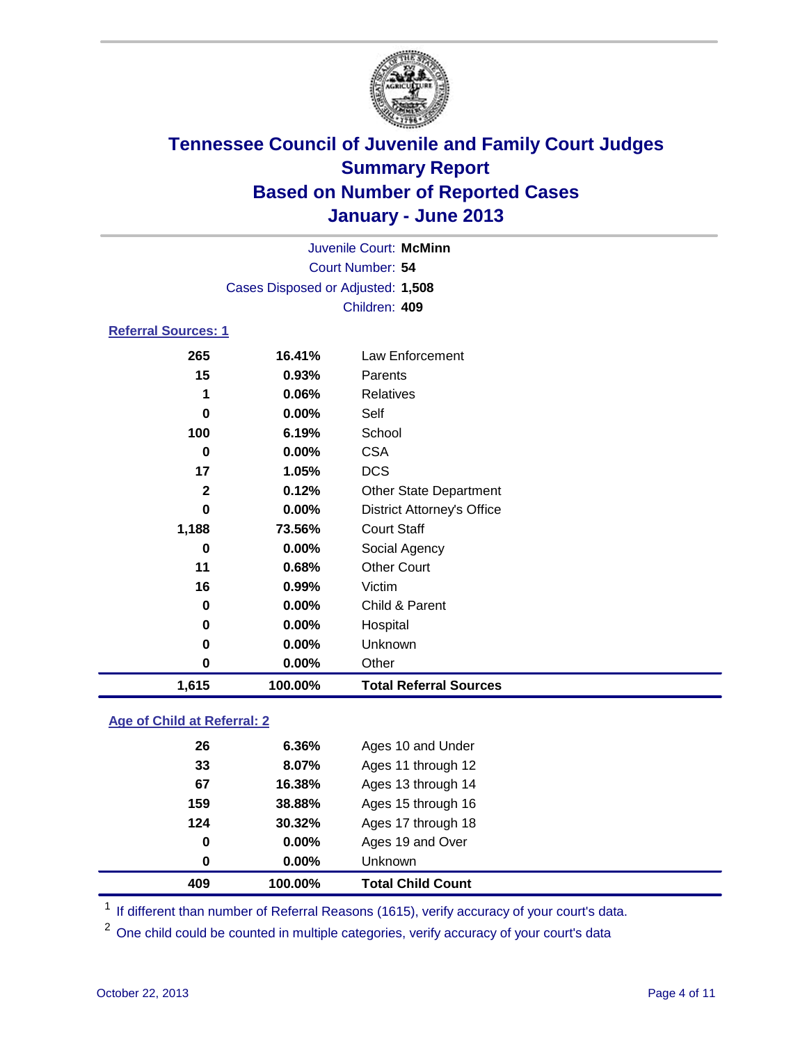

| Juvenile Court: McMinn      |                                   |                                   |  |  |  |
|-----------------------------|-----------------------------------|-----------------------------------|--|--|--|
|                             | Court Number: 54                  |                                   |  |  |  |
|                             | Cases Disposed or Adjusted: 1,508 |                                   |  |  |  |
|                             |                                   | Children: 409                     |  |  |  |
| <b>Referral Sources: 1</b>  |                                   |                                   |  |  |  |
| 265                         | 16.41%                            | <b>Law Enforcement</b>            |  |  |  |
| 15                          | 0.93%                             | Parents                           |  |  |  |
| 1                           | 0.06%                             | <b>Relatives</b>                  |  |  |  |
| 0                           | $0.00\%$                          | Self                              |  |  |  |
| 100                         | 6.19%                             | School                            |  |  |  |
| 0                           | 0.00%                             | <b>CSA</b>                        |  |  |  |
| 17                          | 1.05%                             | <b>DCS</b>                        |  |  |  |
| $\mathbf{2}$                | 0.12%                             | <b>Other State Department</b>     |  |  |  |
| $\bf{0}$                    | $0.00\%$                          | <b>District Attorney's Office</b> |  |  |  |
| 1,188                       | 73.56%                            | <b>Court Staff</b>                |  |  |  |
| 0                           | $0.00\%$                          | Social Agency                     |  |  |  |
| 11                          | 0.68%                             | <b>Other Court</b>                |  |  |  |
| 16                          | 0.99%                             | Victim                            |  |  |  |
| $\bf{0}$                    | 0.00%                             | Child & Parent                    |  |  |  |
| 0                           | 0.00%                             | Hospital                          |  |  |  |
| 0                           | 0.00%                             | Unknown                           |  |  |  |
| $\pmb{0}$                   | 0.00%                             | Other                             |  |  |  |
| 1,615                       | 100.00%                           | <b>Total Referral Sources</b>     |  |  |  |
| Ang of Child at Referral: 2 |                                   |                                   |  |  |  |

### **Age of Child at Referral: 2**

| 409 | 100.00% | <b>Total Child Count</b> |
|-----|---------|--------------------------|
| 0   | 0.00%   | Unknown                  |
| 0   | 0.00%   | Ages 19 and Over         |
| 124 | 30.32%  | Ages 17 through 18       |
| 159 | 38.88%  | Ages 15 through 16       |
| 67  | 16.38%  | Ages 13 through 14       |
| 33  | 8.07%   | Ages 11 through 12       |
| 26  | 6.36%   | Ages 10 and Under        |
|     |         |                          |

<sup>1</sup> If different than number of Referral Reasons (1615), verify accuracy of your court's data.

<sup>2</sup> One child could be counted in multiple categories, verify accuracy of your court's data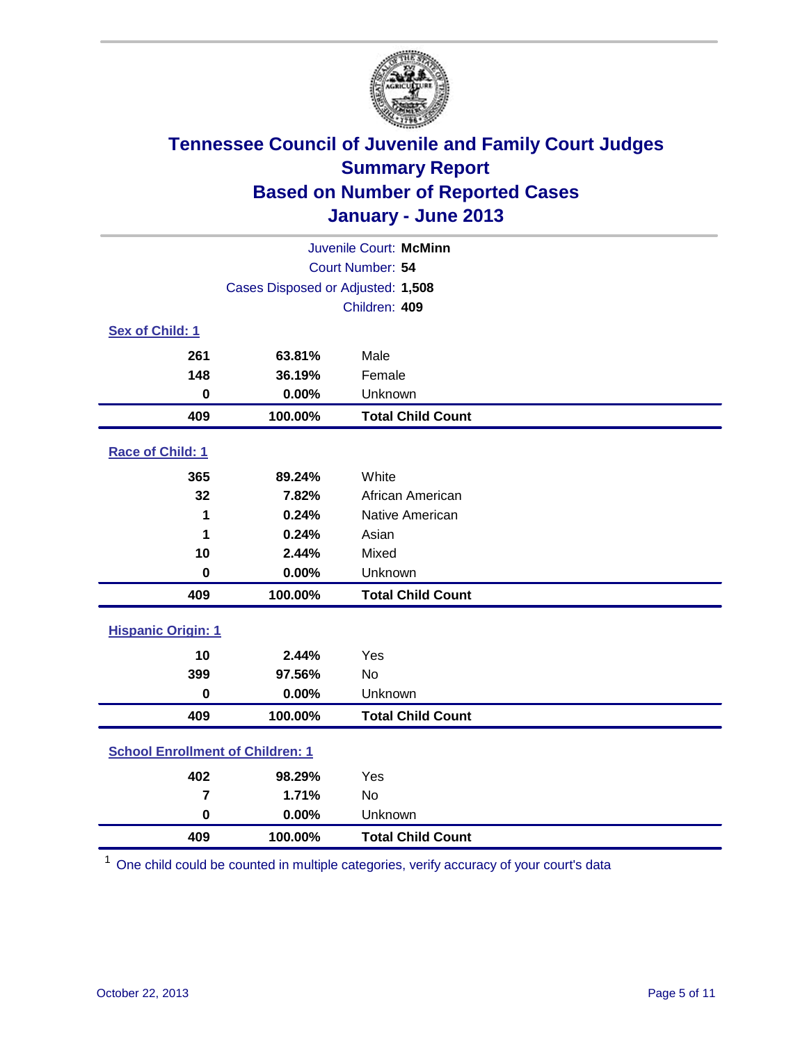

| Juvenile Court: McMinn                  |                                   |                          |  |  |  |
|-----------------------------------------|-----------------------------------|--------------------------|--|--|--|
|                                         | Court Number: 54                  |                          |  |  |  |
|                                         | Cases Disposed or Adjusted: 1,508 |                          |  |  |  |
|                                         |                                   | Children: 409            |  |  |  |
| Sex of Child: 1                         |                                   |                          |  |  |  |
| 261                                     | 63.81%                            | Male                     |  |  |  |
| 148                                     | 36.19%                            | Female                   |  |  |  |
| $\mathbf 0$                             | 0.00%                             | Unknown                  |  |  |  |
| 409                                     | 100.00%                           | <b>Total Child Count</b> |  |  |  |
| Race of Child: 1                        |                                   |                          |  |  |  |
| 365                                     | 89.24%                            | White                    |  |  |  |
| 32                                      | 7.82%                             | African American         |  |  |  |
| 1                                       | 0.24%                             | Native American          |  |  |  |
| 1                                       | 0.24%                             | Asian                    |  |  |  |
| 10                                      | 2.44%                             | Mixed                    |  |  |  |
| $\mathbf 0$                             | 0.00%                             | Unknown                  |  |  |  |
| 409                                     | 100.00%                           | <b>Total Child Count</b> |  |  |  |
| <b>Hispanic Origin: 1</b>               |                                   |                          |  |  |  |
| 10                                      | 2.44%                             | Yes                      |  |  |  |
| 399                                     | 97.56%                            | No                       |  |  |  |
| $\mathbf 0$                             | 0.00%                             | Unknown                  |  |  |  |
| 409                                     | 100.00%                           | <b>Total Child Count</b> |  |  |  |
| <b>School Enrollment of Children: 1</b> |                                   |                          |  |  |  |
| 402                                     | 98.29%                            | Yes                      |  |  |  |
| $\overline{7}$                          | 1.71%                             | No                       |  |  |  |
| $\mathbf 0$                             | 0.00%                             | Unknown                  |  |  |  |
| 409                                     | 100.00%                           | <b>Total Child Count</b> |  |  |  |

One child could be counted in multiple categories, verify accuracy of your court's data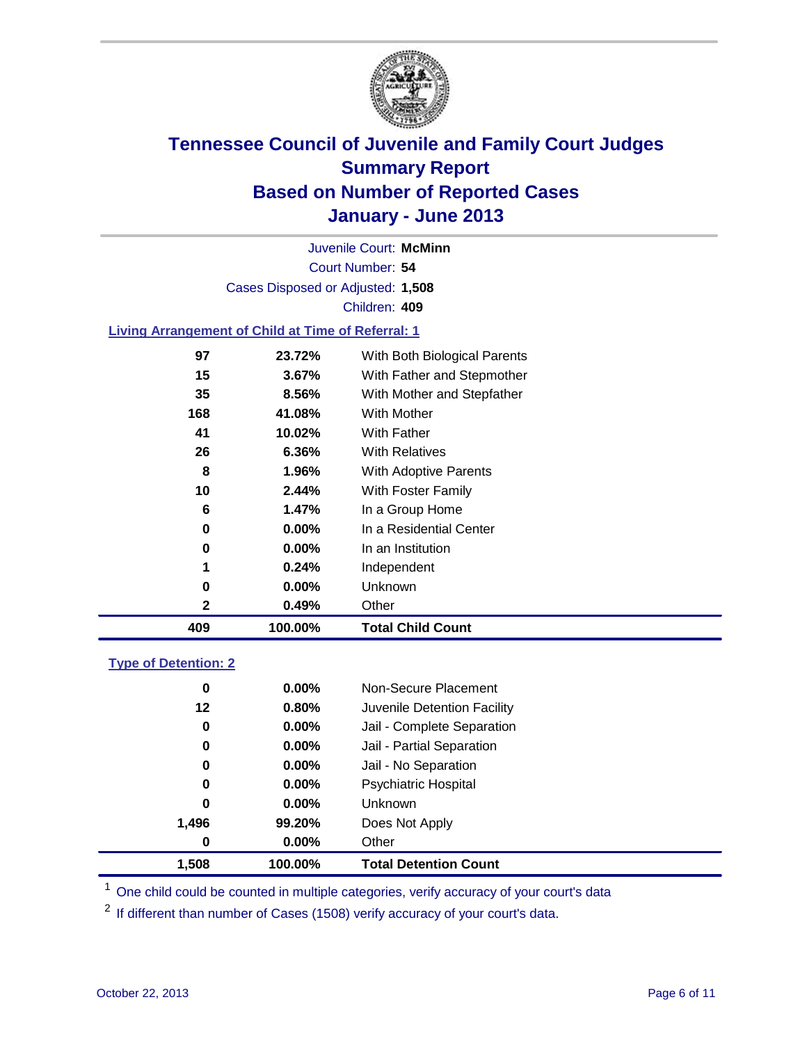

Court Number: **54** Juvenile Court: **McMinn** Cases Disposed or Adjusted: **1,508** Children: **409**

#### **Living Arrangement of Child at Time of Referral: 1**

| 2   | 0.49%    | Other                        |
|-----|----------|------------------------------|
| 0   | $0.00\%$ | Unknown                      |
| 1   | 0.24%    | Independent                  |
| 0   | $0.00\%$ | In an Institution            |
| 0   | $0.00\%$ | In a Residential Center      |
| 6   | 1.47%    | In a Group Home              |
| 10  | 2.44%    | With Foster Family           |
| 8   | 1.96%    | With Adoptive Parents        |
| 26  | $6.36\%$ | <b>With Relatives</b>        |
| 41  | 10.02%   | With Father                  |
| 168 | 41.08%   | With Mother                  |
| 35  | 8.56%    | With Mother and Stepfather   |
| 15  | 3.67%    | With Father and Stepmother   |
| 97  | 23.72%   | With Both Biological Parents |
|     |          |                              |

#### **Type of Detention: 2**

| 1,508    | 100.00%  | <b>Total Detention Count</b> |  |
|----------|----------|------------------------------|--|
| 0        | $0.00\%$ | Other                        |  |
| 1,496    | 99.20%   | Does Not Apply               |  |
| 0        | $0.00\%$ | <b>Unknown</b>               |  |
| 0        | 0.00%    | <b>Psychiatric Hospital</b>  |  |
| $\bf{0}$ | 0.00%    | Jail - No Separation         |  |
| 0        | $0.00\%$ | Jail - Partial Separation    |  |
| 0        | $0.00\%$ | Jail - Complete Separation   |  |
| 12       | 0.80%    | Juvenile Detention Facility  |  |
| 0        | $0.00\%$ | Non-Secure Placement         |  |
|          |          |                              |  |

<sup>1</sup> One child could be counted in multiple categories, verify accuracy of your court's data

<sup>2</sup> If different than number of Cases (1508) verify accuracy of your court's data.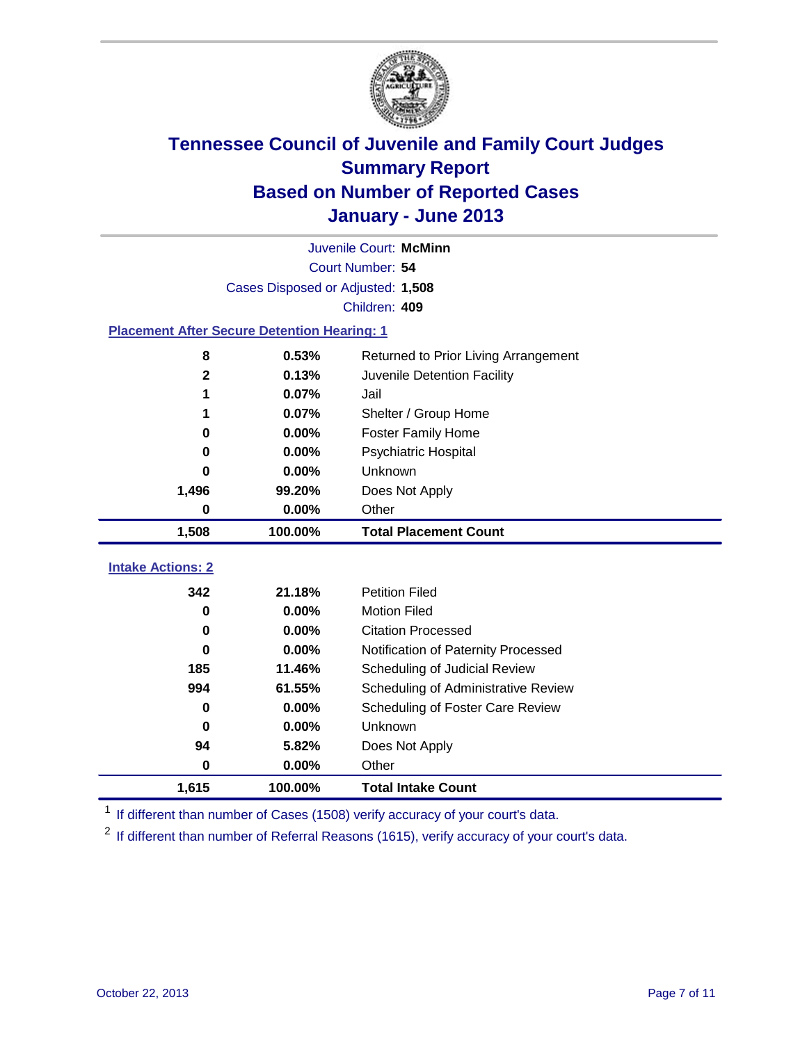

|                                                    | Juvenile Court: McMinn            |                                      |  |  |  |
|----------------------------------------------------|-----------------------------------|--------------------------------------|--|--|--|
|                                                    | Court Number: 54                  |                                      |  |  |  |
|                                                    | Cases Disposed or Adjusted: 1,508 |                                      |  |  |  |
|                                                    |                                   | Children: 409                        |  |  |  |
| <b>Placement After Secure Detention Hearing: 1</b> |                                   |                                      |  |  |  |
| 8                                                  | 0.53%                             | Returned to Prior Living Arrangement |  |  |  |
| $\overline{\mathbf{2}}$                            | 0.13%                             | Juvenile Detention Facility          |  |  |  |
| 1                                                  | 0.07%                             | Jail                                 |  |  |  |
| 1                                                  | 0.07%                             | Shelter / Group Home                 |  |  |  |
| $\bf{0}$                                           | 0.00%                             | <b>Foster Family Home</b>            |  |  |  |
| 0                                                  | 0.00%                             | Psychiatric Hospital                 |  |  |  |
| 0                                                  | 0.00%                             | Unknown                              |  |  |  |
| 1,496                                              | 99.20%                            | Does Not Apply                       |  |  |  |
| 0                                                  | $0.00\%$                          | Other                                |  |  |  |
| 1,508                                              | 100.00%                           | <b>Total Placement Count</b>         |  |  |  |
|                                                    |                                   |                                      |  |  |  |
| <b>Intake Actions: 2</b>                           |                                   |                                      |  |  |  |
| 342                                                | 21.18%                            | <b>Petition Filed</b>                |  |  |  |
| 0                                                  | 0.00%                             | <b>Motion Filed</b>                  |  |  |  |
| $\bf{0}$                                           | 0.00%                             | <b>Citation Processed</b>            |  |  |  |
| 0                                                  | 0.00%                             | Notification of Paternity Processed  |  |  |  |
| 185                                                | 11.46%                            | Scheduling of Judicial Review        |  |  |  |
| 994                                                | 61.55%                            | Scheduling of Administrative Review  |  |  |  |
| 0                                                  | $0.00\%$                          | Scheduling of Foster Care Review     |  |  |  |
| 0                                                  | 0.00%                             | Unknown                              |  |  |  |
| 94                                                 | 5.82%                             | Does Not Apply                       |  |  |  |
| $\mathbf 0$                                        | 0.00%                             | Other                                |  |  |  |
| 1,615                                              | 100.00%                           | <b>Total Intake Count</b>            |  |  |  |

<sup>1</sup> If different than number of Cases (1508) verify accuracy of your court's data.

<sup>2</sup> If different than number of Referral Reasons (1615), verify accuracy of your court's data.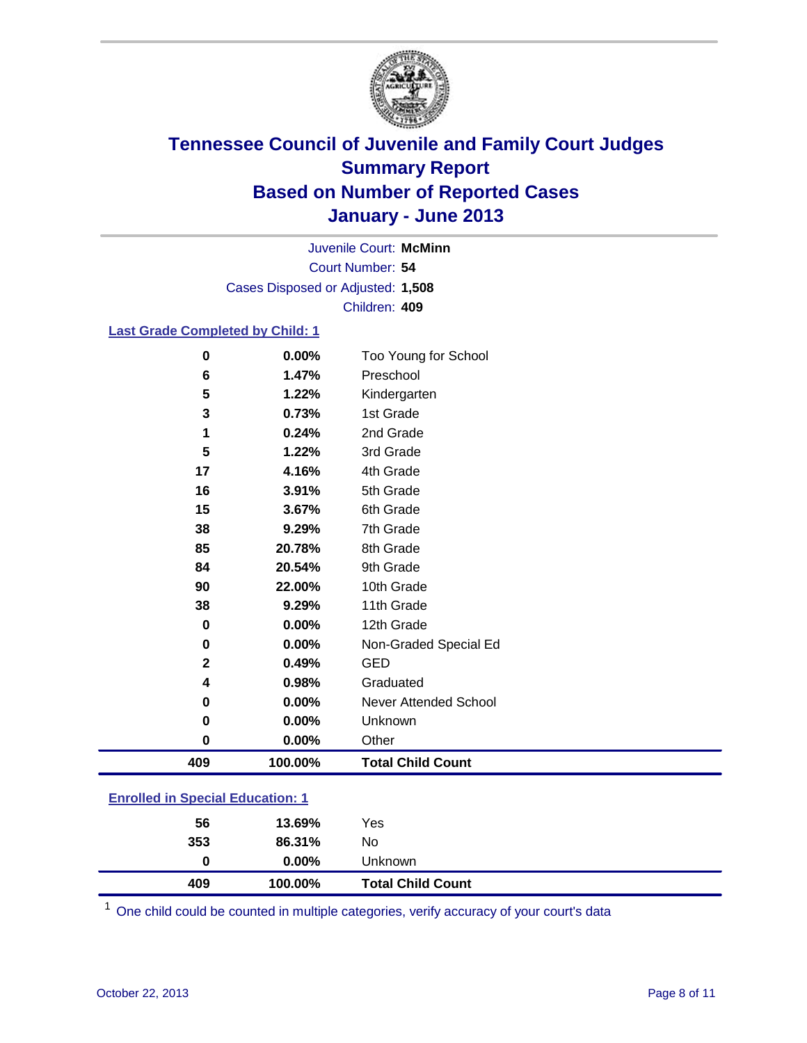

Court Number: **54** Juvenile Court: **McMinn** Cases Disposed or Adjusted: **1,508** Children: **409**

### **Last Grade Completed by Child: 1**

| 409           | 100.00%        | <b>Total Child Count</b>          |  |
|---------------|----------------|-----------------------------------|--|
| 0             | 0.00%          | Other                             |  |
| $\mathbf 0$   | 0.00%          | Unknown                           |  |
| $\mathbf 0$   | 0.00%          | Never Attended School             |  |
| 4             | 0.98%          | Graduated                         |  |
| $\mathbf 2$   | 0.49%          | <b>GED</b>                        |  |
| $\mathbf 0$   | 0.00%          | Non-Graded Special Ed             |  |
| $\mathbf 0$   | 0.00%          | 12th Grade                        |  |
| 38            | 9.29%          | 11th Grade                        |  |
| 90            | 22.00%         | 10th Grade                        |  |
| 84            | 20.54%         | 9th Grade                         |  |
| 85            | 20.78%         | 8th Grade                         |  |
| 38            | 9.29%          | 7th Grade                         |  |
| 15            | 3.67%          | 6th Grade                         |  |
| 16            | 3.91%          | 5th Grade                         |  |
| 17            | 4.16%          | 4th Grade                         |  |
| 5             | 1.22%          | 3rd Grade                         |  |
| 1             | 0.24%          | 2nd Grade                         |  |
| $\mathbf 3$   | 0.73%          | 1st Grade                         |  |
| 5             | 1.22%          | Kindergarten                      |  |
| $\bf{0}$<br>6 | 0.00%<br>1.47% | Too Young for School<br>Preschool |  |

### **Enrolled in Special Education: 1**

| 409 | 100.00%  | <b>Total Child Count</b> |
|-----|----------|--------------------------|
| 0   | $0.00\%$ | <b>Unknown</b>           |
| 353 | 86.31%   | No.                      |
| 56  | 13.69%   | Yes                      |
|     |          |                          |

One child could be counted in multiple categories, verify accuracy of your court's data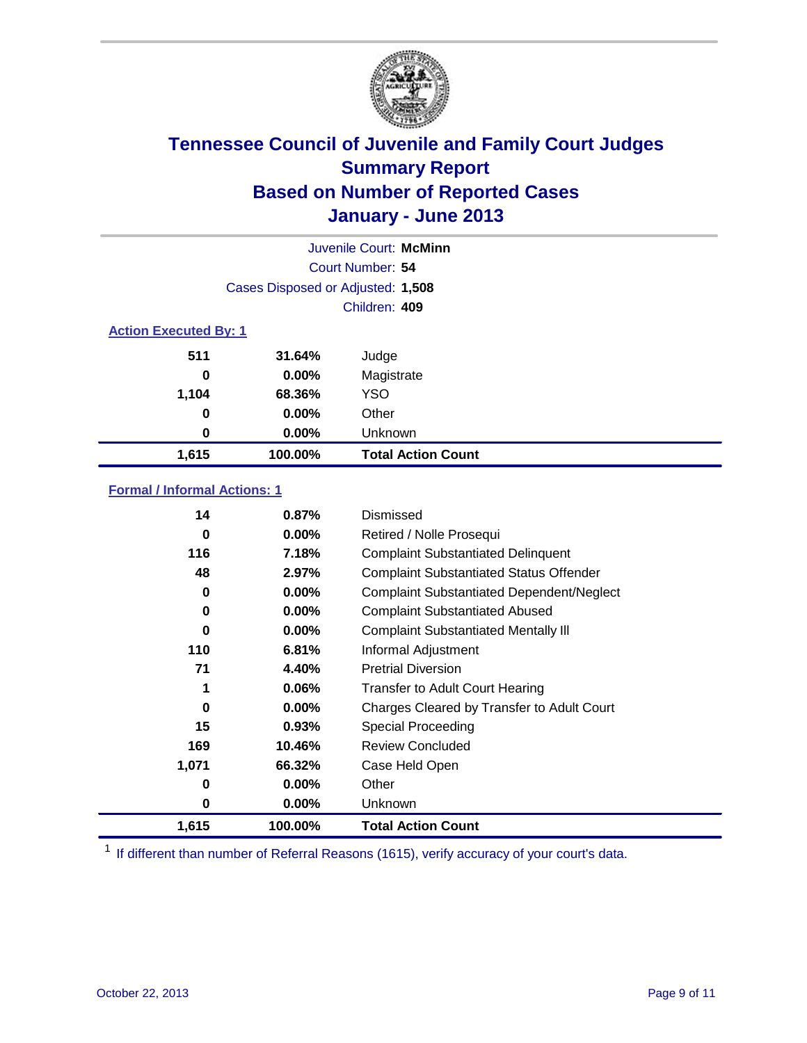

|                              | Juvenile Court: McMinn            |                           |  |  |
|------------------------------|-----------------------------------|---------------------------|--|--|
|                              |                                   | Court Number: 54          |  |  |
|                              | Cases Disposed or Adjusted: 1,508 |                           |  |  |
|                              |                                   | Children: 409             |  |  |
| <b>Action Executed By: 1</b> |                                   |                           |  |  |
| 511                          | 31.64%                            | Judge                     |  |  |
| 0                            | $0.00\%$                          | Magistrate                |  |  |
| 1,104                        | 68.36%                            | <b>YSO</b>                |  |  |
| 0                            | 0.00%                             | Other                     |  |  |
| 0                            | 0.00%                             | Unknown                   |  |  |
| 1,615                        | 100.00%                           | <b>Total Action Count</b> |  |  |

### **Formal / Informal Actions: 1**

| 14    | 0.87%    | Dismissed                                        |
|-------|----------|--------------------------------------------------|
| 0     | $0.00\%$ | Retired / Nolle Prosequi                         |
| 116   | 7.18%    | <b>Complaint Substantiated Delinquent</b>        |
| 48    | 2.97%    | <b>Complaint Substantiated Status Offender</b>   |
| 0     | $0.00\%$ | <b>Complaint Substantiated Dependent/Neglect</b> |
| 0     | $0.00\%$ | <b>Complaint Substantiated Abused</b>            |
| 0     | $0.00\%$ | <b>Complaint Substantiated Mentally III</b>      |
| 110   | 6.81%    | Informal Adjustment                              |
| 71    | 4.40%    | <b>Pretrial Diversion</b>                        |
| 1     | $0.06\%$ | <b>Transfer to Adult Court Hearing</b>           |
| 0     | $0.00\%$ | Charges Cleared by Transfer to Adult Court       |
| 15    | 0.93%    | <b>Special Proceeding</b>                        |
| 169   | 10.46%   | <b>Review Concluded</b>                          |
| 1,071 | 66.32%   | Case Held Open                                   |
| 0     | $0.00\%$ | Other                                            |
| 0     | $0.00\%$ | <b>Unknown</b>                                   |
| 1,615 | 100.00%  | <b>Total Action Count</b>                        |

<sup>1</sup> If different than number of Referral Reasons (1615), verify accuracy of your court's data.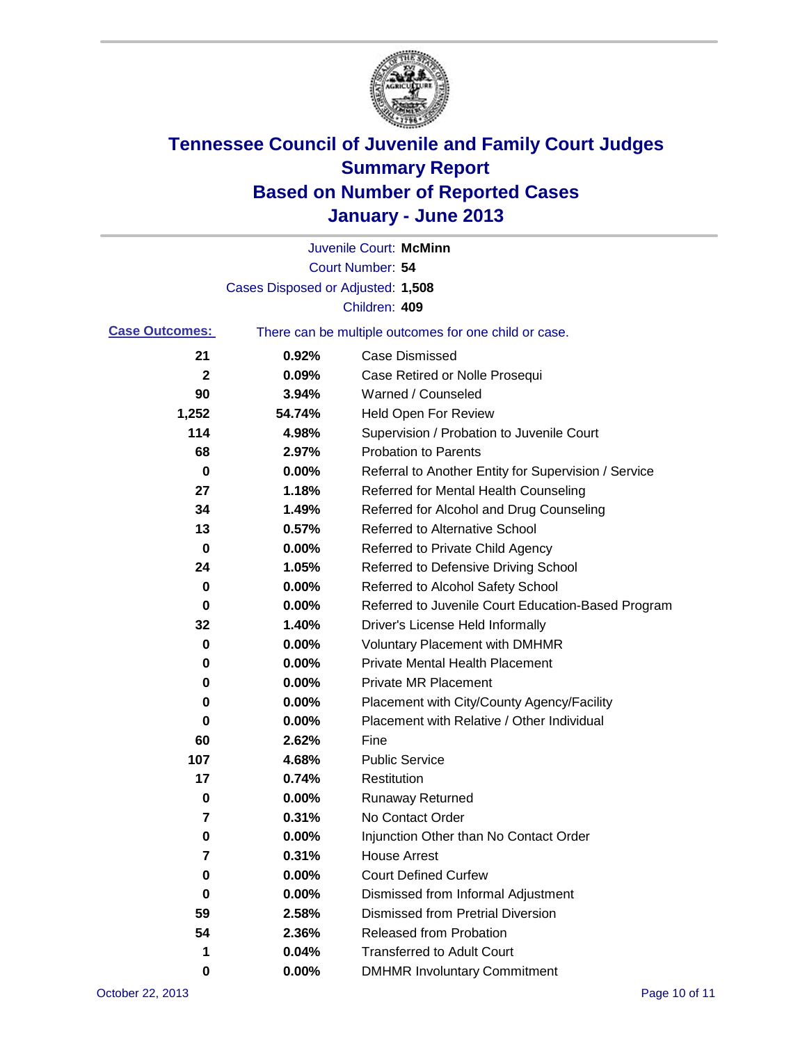

|                       |                                   | Juvenile Court: McMinn                                |
|-----------------------|-----------------------------------|-------------------------------------------------------|
|                       |                                   | <b>Court Number: 54</b>                               |
|                       | Cases Disposed or Adjusted: 1,508 |                                                       |
|                       |                                   | Children: 409                                         |
| <b>Case Outcomes:</b> |                                   | There can be multiple outcomes for one child or case. |
| 21                    | 0.92%                             | <b>Case Dismissed</b>                                 |
| $\mathbf{2}$          | 0.09%                             | Case Retired or Nolle Prosequi                        |
| 90                    | 3.94%                             | Warned / Counseled                                    |
| 1,252                 | 54.74%                            | Held Open For Review                                  |
| 114                   | 4.98%                             | Supervision / Probation to Juvenile Court             |
| 68                    | 2.97%                             | <b>Probation to Parents</b>                           |
| 0                     | 0.00%                             | Referral to Another Entity for Supervision / Service  |
| 27                    | 1.18%                             | Referred for Mental Health Counseling                 |
| 34                    | 1.49%                             | Referred for Alcohol and Drug Counseling              |
| 13                    | 0.57%                             | <b>Referred to Alternative School</b>                 |
| 0                     | 0.00%                             | Referred to Private Child Agency                      |
| 24                    | 1.05%                             | Referred to Defensive Driving School                  |
| 0                     | 0.00%                             | Referred to Alcohol Safety School                     |
| 0                     | 0.00%                             | Referred to Juvenile Court Education-Based Program    |
| 32                    | 1.40%                             | Driver's License Held Informally                      |
| 0                     | 0.00%                             | <b>Voluntary Placement with DMHMR</b>                 |
| 0                     | 0.00%                             | <b>Private Mental Health Placement</b>                |
| 0                     | 0.00%                             | <b>Private MR Placement</b>                           |
| 0                     | 0.00%                             | Placement with City/County Agency/Facility            |
| 0                     | 0.00%                             | Placement with Relative / Other Individual            |
| 60                    | 2.62%                             | Fine                                                  |
| 107                   | 4.68%                             | <b>Public Service</b>                                 |
| 17                    | 0.74%                             | Restitution                                           |
| 0                     | 0.00%                             | <b>Runaway Returned</b>                               |
| 7                     | 0.31%                             | No Contact Order                                      |
| U                     | 0.00%                             | Injunction Other than No Contact Order                |
| 7                     | 0.31%                             | <b>House Arrest</b>                                   |
| 0                     | 0.00%                             | <b>Court Defined Curfew</b>                           |
| 0                     | 0.00%                             | Dismissed from Informal Adjustment                    |
| 59                    | 2.58%                             | <b>Dismissed from Pretrial Diversion</b>              |
| 54                    | 2.36%                             | Released from Probation                               |
| 1                     | 0.04%                             | <b>Transferred to Adult Court</b>                     |
| 0                     | $0.00\%$                          | <b>DMHMR Involuntary Commitment</b>                   |